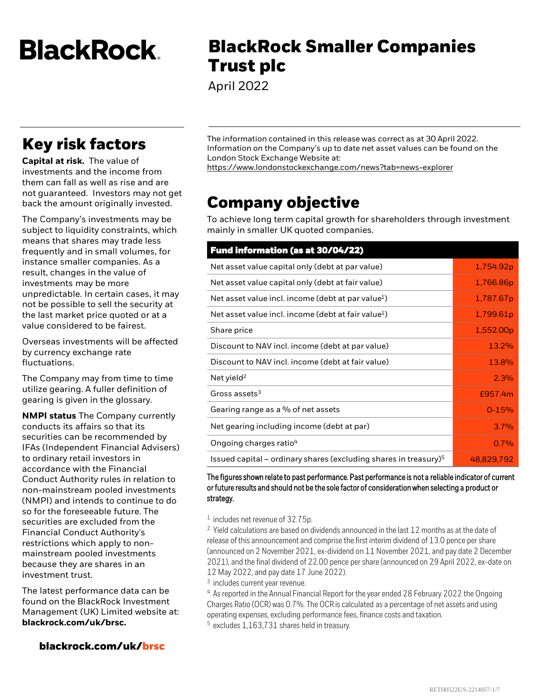**BlackRock** 

# **Key risk factors**

**Capital at risk.** The value of investments and the income from them can fall as well as rise and are not guaranteed. Investors may not get back the amount originally invested.

The Company's investments may be subject to liquidity constraints, which means that shares may trade less frequently and in small volumes, for instance smaller companies. As a result, changes in the value of investments may be more unpredictable. In certain cases, it may not be possible to sell the security at the last market price quoted or at a value considered to be fairest.

Overseas investments will be affected by currency exchange rate fluctuations.

The Company may from time to time utilize gearing. A fuller definition of gearing is given in the glossary.

**NMPI status** The Company currently conducts its affairs so that its securities can be recommended by IFAs (Independent Financial Advisers) to ordinary retail investors in accordance with the Financial Conduct Authority rules in relation to non-mainstream pooled investments (NMPI) and intends to continue to do so for the foreseeable future. The securities are excluded from the Financial Conduct Authority's restrictions which apply to nonmainstream pooled investments because they are shares in an investment trust.

The latest performance data can be found on the BlackRock Investment Management (UK) Limited website at: **blackrock.com/uk/brsc.**

#### **blackrock.com/uk/brsc**

**BlackRock Smaller Companies Trust plc**

April 2022

The information contained in this release was correct as at 30 April 2022. Information on the Company's up to date net asset values can be found on the London Stock Exchange Website at:

<https://www.londonstockexchange.com/news?tab=news-explorer>

## **Company objective**

To achieve long term capital growth for shareholders through investment mainly in smaller UK quoted companies.

| <b>Fund information (as at 30/04/22)</b>                            |            |
|---------------------------------------------------------------------|------------|
| Net asset value capital only (debt at par value)                    | 1,754.92p  |
| Net asset value capital only (debt at fair value)                   | 1,766.86p  |
| Net asset value incl. income (debt at par value $^1$ )              | 1,787.67p  |
| Net asset value incl. income (debt at fair value <sup>1</sup> )     | 1,799.61p  |
| Share price                                                         | 1,552.00p  |
| Discount to NAV incl. income (debt at par value)                    | 13.2%      |
| Discount to NAV incl. income (debt at fair value)                   | 13.8%      |
| Net yield <sup>2</sup>                                              | 2.3%       |
| Gross assets <sup>3</sup>                                           | £957.4m    |
| Gearing range as a % of net assets                                  | $0 - 15%$  |
| Net gearing including income (debt at par)                          | 3.7%       |
| Ongoing charges ratio <sup>4</sup>                                  | 0.7%       |
| Issued capital – ordinary shares (excluding shares in treasury) $5$ | 48,829,792 |

The figures shown relate to past performance. Past performance is not a reliable indicator of current or future results and should not be the sole factor of consideration when selecting a product or strategy.

1 includes net revenue of 32.75p.

 $2$  Yield calculations are based on dividends announced in the last 12 months as at the date of release of this announcement and comprise the first interim dividend of 13.0 pence per share (announced on 2 November 2021, ex-dividend on 11 November 2021, and pay date 2 December 2021), and the final dividend of 22.00 pence per share (announced on 29 April 2022, ex-date on 12 May 2022, and pay date 17 June 2022).

3 includes current year revenue.

<sup>4</sup> As reported in the Annual Financial Report for the year ended 28 February 2022 the Ongoing Charges Ratio (OCR) was 0.7%. The OCR is calculated as a percentage of net assets and using operating expenses, excluding performance fees, finance costs and taxation.

<sup>5</sup> excludes 1,163,731 shares held in treasury.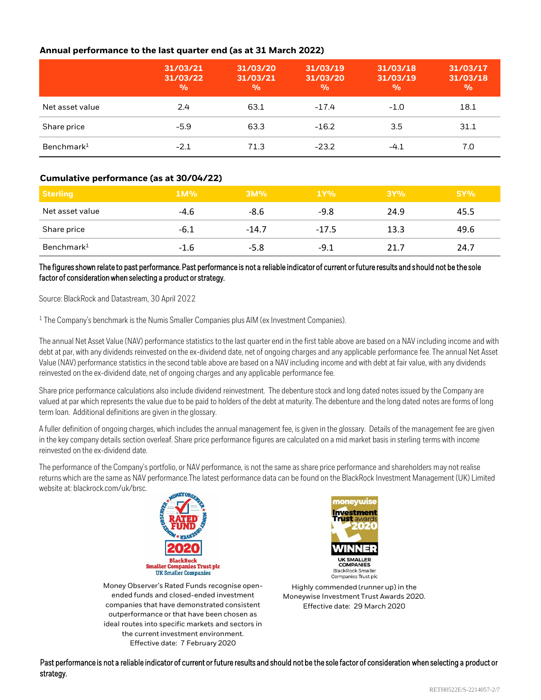#### **Annual performance to the last quarter end (as at 31 March 2022)**

|                        | 31/03/21<br>31/03/22<br>$\frac{0}{0}$ | 31/03/20<br>31/03/21<br>$\frac{0}{0}$ | 31/03/19<br>31/03/20<br>$\frac{0}{0}$ | 31/03/18<br>31/03/19<br>$\frac{0}{0}$ | 31/03/17<br>31/03/18<br>$\frac{9}{6}$ |
|------------------------|---------------------------------------|---------------------------------------|---------------------------------------|---------------------------------------|---------------------------------------|
| Net asset value        | 2.4                                   | 63.1                                  | $-17.4$                               | $-1.0$                                | 18.1                                  |
| Share price            | $-5.9$                                | 63.3                                  | $-16.2$                               | 3.5                                   | 31.1                                  |
| Benchmark <sup>1</sup> | $-2.1$                                | 71.3                                  | $-23.2$                               | $-4.1$                                | 7.0                                   |

#### **Cumulative performance (as at 30/04/22)**

| <b>Sterling</b>        | $1M\%$ | 3M%     | 1Y%     | 3Y%  | 5Y%  |
|------------------------|--------|---------|---------|------|------|
| Net asset value        | $-4.6$ | -8.6    | $-9.8$  | 24.9 | 45.5 |
| Share price            | $-6.1$ | $-14.7$ | $-17.5$ | 13.3 | 49.6 |
| Benchmark <sup>1</sup> | $-1.6$ | $-5.8$  | $-9.1$  | 21.7 | 24.7 |

#### The figures shown relate to past performance. Past performance is not a reliable indicator of current or future results and should not be the sole factor of consideration when selecting a product or strategy.

Source: BlackRock and Datastream, 30 April 2022

<sup>1</sup> The Company's benchmark is the Numis Smaller Companies plus AIM (ex Investment Companies).

The annual Net Asset Value (NAV) performance statistics to the last quarter end in the first table above are based on a NAV including income and with debt at par, with any dividends reinvested on the ex-dividend date, net of ongoing charges and any applicable performance fee. The annual Net Asset Value (NAV) performance statistics in the second table above are based on a NAV including income and with debt at fair value, with any dividends reinvested on the ex-dividend date, net of ongoing charges and any applicable performance fee.

Share price performance calculations also include dividend reinvestment. The debenture stock and long dated notes issued by the Company are valued at par which represents the value due to be paid to holders of the debt at maturity. The debenture and the long dated notes are forms of long term loan. Additional definitions are given in the glossary.

A fuller definition of ongoing charges, which includes the annual management fee, is given in the glossary. Details of the management fee are given in the key company details section overleaf. Share price performance figures are calculated on a mid market basis in sterling terms with income reinvested on the ex-dividend date.

The performance of the Company's portfolio, or NAV performance, is not the same as share price performance and shareholders may not realise returns which are the same as NAV performance.The latest performance data can be found on the BlackRock Investment Management (UK) Limited website at: blackrock.com/uk/brsc.



Money Observer's Rated Funds recognise openended funds and closed-ended investment companies that have demonstrated consistent outperformance or that have been chosen as ideal routes into specific markets and sectors in the current investment environment. Effective date: 7 February 2020



Highly commended (runner up) in the Moneywise Investment Trust Awards 2020. Effective date: 29 March 2020

Past performance is not a reliable indicator of current or future results and should not be the sole factor of consideration when selecting a product or strategy.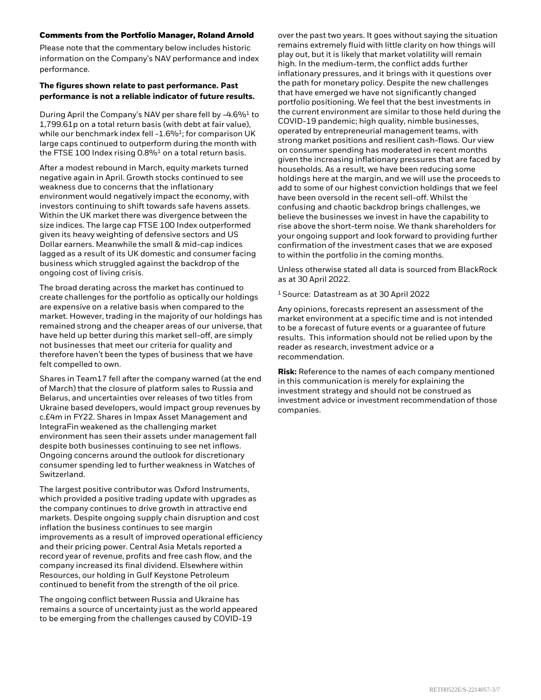#### **Comments from the Portfolio Manager, Roland Arnold**

Please note that the commentary below includes historic information on the Company's NAV performance and index performance.

#### **The figures shown relate to past performance. Past performance is not a reliable indicator of future results.**

During April the Company's NAV per share fell by -4.6%<sup>1</sup> to 1,799.61p on a total return basis (with debt at fair value), while our benchmark index fell -1.6%<sup>1</sup>; for comparison UK large caps continued to outperform during the month with the FTSE 100 Index rising  $0.8\%$ <sup>1</sup> on a total return basis.

After a modest rebound in March, equity markets turned negative again in April. Growth stocks continued to see weakness due to concerns that the inflationary environment would negatively impact the economy, with investors continuing to shift towards safe havens assets. Within the UK market there was divergence between the size indices. The large cap FTSE 100 Index outperformed given its heavy weighting of defensive sectors and US Dollar earners. Meanwhile the small & mid-cap indices lagged as a result of its UK domestic and consumer facing business which struggled against the backdrop of the ongoing cost of living crisis.

The broad derating across the market has continued to create challenges for the portfolio as optically our holdings are expensive on a relative basis when compared to the market. However, trading in the majority of our holdings has remained strong and the cheaper areas of our universe, that have held up better during this market sell-off, are simply not businesses that meet our criteria for quality and therefore haven't been the types of business that we have felt compelled to own.

Shares in Team17 fell after the company warned (at the end of March) that the closure of platform sales to Russia and Belarus, and uncertainties over releases of two titles from Ukraine based developers, would impact group revenues by c.£4m in FY22. Shares in Impax Asset Management and IntegraFin weakened as the challenging market environment has seen their assets under management fall despite both businesses continuing to see net inflows. Ongoing concerns around the outlook for discretionary consumer spending led to further weakness in Watches of Switzerland.

The largest positive contributor was Oxford Instruments, which provided a positive trading update with upgrades as the company continues to drive growth in attractive end markets. Despite ongoing supply chain disruption and cost inflation the business continues to see margin improvements as a result of improved operational efficiency and their pricing power. Central Asia Metals reported a record year of revenue, profits and free cash flow, and the company increased its final dividend. Elsewhere within Resources, our holding in Gulf Keystone Petroleum continued to benefit from the strength of the oil price.

The ongoing conflict between Russia and Ukraine has remains a source of uncertainty just as the world appeared to be emerging from the challenges caused by COVID-19

over the past two years. It goes without saying the situation remains extremely fluid with little clarity on how things will play out, but it is likely that market volatility will remain high. In the medium-term, the conflict adds further inflationary pressures, and it brings with it questions over the path for monetary policy. Despite the new challenges that have emerged we have not significantly changed portfolio positioning. We feel that the best investments in the current environment are similar to those held during the COVID-19 pandemic; high quality, nimble businesses, operated by entrepreneurial management teams, with strong market positions and resilient cash-flows. Our view on consumer spending has moderated in recent months given the increasing inflationary pressures that are faced by households. As a result, we have been reducing some holdings here at the margin, and we will use the proceeds to add to some of our highest conviction holdings that we feel have been oversold in the recent sell-off. Whilst the confusing and chaotic backdrop brings challenges, we believe the businesses we invest in have the capability to rise above the short-term noise. We thank shareholders for your ongoing support and look forward to providing further confirmation of the investment cases that we are exposed to within the portfolio in the coming months.

Unless otherwise stated all data is sourced from BlackRock as at 30 April 2022.

<sup>1</sup>Source: Datastream as at 30 April 2022

Any opinions, forecasts represent an assessment of the market environment at a specific time and is not intended to be a forecast of future events or a guarantee of future results. This information should not be relied upon by the reader as research, investment advice or a recommendation.

**Risk:** Reference to the names of each company mentioned in this communication is merely for explaining the investment strategy and should not be construed as investment advice or investment recommendation of those companies.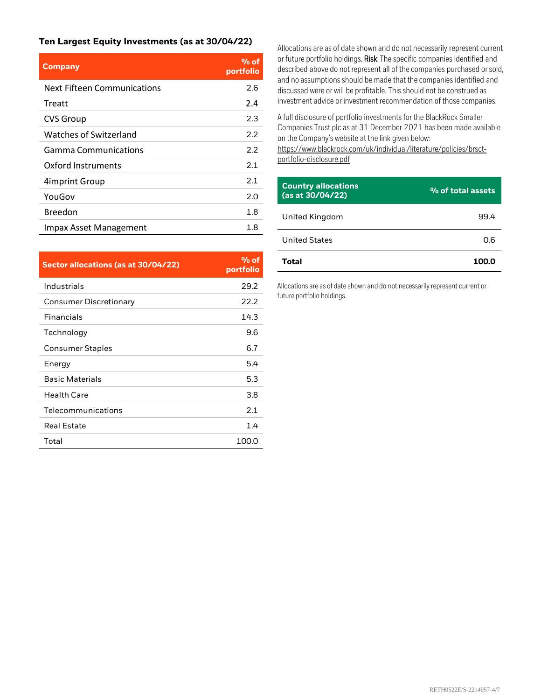#### **Ten Largest Equity Investments (as at 30/04/22)**

| <b>Company</b>              | $%$ of<br>portfolio |
|-----------------------------|---------------------|
| Next Fifteen Communications | 2.6                 |
| Treatt                      | 2.4                 |
| <b>CVS Group</b>            | 2.3                 |
| Watches of Switzerland      | 2.2                 |
| Gamma Communications        | 2.2                 |
| Oxford Instruments          | 2.1                 |
| 4 imprint Group             | 2.1                 |
| YouGov                      | 2.0                 |
| Breedon                     | 1.8                 |
| Impax Asset Management      | 1.8                 |

| Sector allocations (as at 30/04/22) | $%$ of<br>portfolio |
|-------------------------------------|---------------------|
| Industrials                         | 29.2                |
| Consumer Discretionary              | 22.2                |
| <b>Financials</b>                   | 14.3                |
| Technology                          | 9.6                 |
| <b>Consumer Staples</b>             | 6.7                 |
| Energy                              | 5.4                 |
| <b>Basic Materials</b>              | 5.3                 |
| <b>Health Care</b>                  | 3.8                 |
| Telecommunications                  | 2.1                 |
| <b>Real Estate</b>                  | 1.4                 |
| Total                               | 100.0               |

Allocations are as of date shown and do not necessarily represent current or future portfolio holdings. Risk: The specific companies identified and described above do not represent all of the companies purchased or sold, and no assumptions should be made that the companies identified and discussed were or will be profitable. This should not be construed as investment advice or investment recommendation of those companies.

A full disclosure of portfolio investments for the BlackRock Smaller Companies Trust plc as at 31 December 2021 has been made available on the Company's website at the link given below:

[https://www.blackrock.com/uk/individual/literature/policies/brsct](https://www.blackrock.com/uk/individual/literature/policies/brsct-portfolio-disclosure.pdf)portfolio-disclosure.pdf

| <b>Country allocations</b><br>(as at 30/04/22) | % of total assets |
|------------------------------------------------|-------------------|
| United Kingdom                                 | 99.4              |
| <b>United States</b>                           | 0.6               |
| Total                                          |                   |

Allocations are as of date shown and do not necessarily represent current or future portfolio holdings.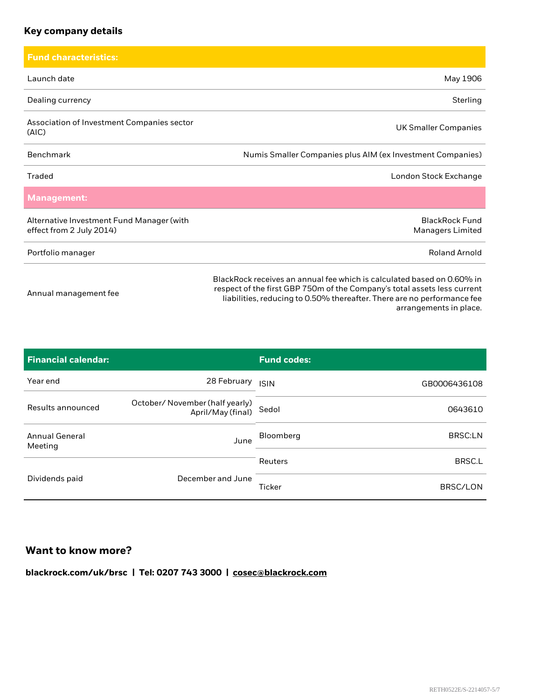## **Key company details**

| <b>Fund characteristics:</b>                                          |                                                                                                                                                                                                                                                         |
|-----------------------------------------------------------------------|---------------------------------------------------------------------------------------------------------------------------------------------------------------------------------------------------------------------------------------------------------|
| Launch date                                                           | May 1906                                                                                                                                                                                                                                                |
| Dealing currency                                                      | Sterling                                                                                                                                                                                                                                                |
| Association of Investment Companies sector<br>(AIC)                   | <b>UK Smaller Companies</b>                                                                                                                                                                                                                             |
| Benchmark                                                             | Numis Smaller Companies plus AIM (ex Investment Companies)                                                                                                                                                                                              |
| Traded                                                                | London Stock Exchange                                                                                                                                                                                                                                   |
| <b>Management:</b>                                                    |                                                                                                                                                                                                                                                         |
| Alternative Investment Fund Manager (with<br>effect from 2 July 2014) | <b>BlackRock Fund</b><br><b>Managers Limited</b>                                                                                                                                                                                                        |
| Portfolio manager                                                     | <b>Roland Arnold</b>                                                                                                                                                                                                                                    |
| Annual management fee                                                 | BlackRock receives an annual fee which is calculated based on 0.60% in<br>respect of the first GBP 750m of the Company's total assets less current<br>liabilities, reducing to 0.50% thereafter. There are no performance fee<br>arrangements in place. |

| <b>Financial calendar:</b>       |                                                      | <b>Fund codes:</b> |                |
|----------------------------------|------------------------------------------------------|--------------------|----------------|
| Year end                         | 28 February                                          | <b>ISIN</b>        | GB0006436108   |
| Results announced                | October/ November (half yearly)<br>April/May (final) | Sedol              | 0643610        |
| <b>Annual General</b><br>Meeting | June                                                 | Bloomberg          | <b>BRSC:LN</b> |
|                                  |                                                      | Reuters            | BRSC.L         |
| Dividends paid                   | December and June                                    | Ticker             | BRSC/LON       |

## **Want to know more?**

**blackrock.com/uk/brsc | Tel: 0207 743 3000 | [cosec@blackrock.com](mailto:cosec@blackrock.com?subject=Investment%20Trust%20Inquiry%20Website)**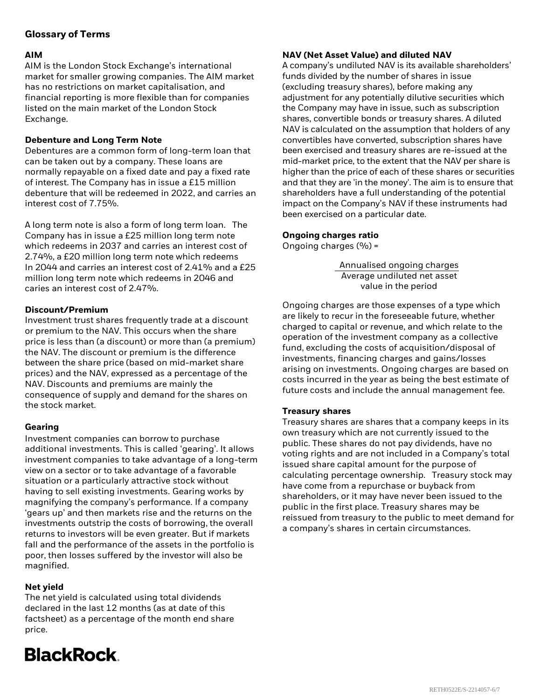### **Glossary of Terms**

#### **AIM**

AIM is the London Stock Exchange's international market for smaller growing companies. The AIM market has no restrictions on market capitalisation, and financial reporting is more flexible than for companies listed on the main market of the London Stock Exchange.

#### **Debenture and Long Term Note**

Debentures are a common form of long-term loan that can be taken out by a company. These loans are normally repayable on a fixed date and pay a fixed rate of interest. The Company has in issue a £15 million debenture that will be redeemed in 2022, and carries an interest cost of 7.75%.

A long term note is also a form of long term loan. The Company has in issue a £25 million long term note which redeems in 2037 and carries an interest cost of 2.74%, a £20 million long term note which redeems In 2044 and carries an interest cost of 2.41% and a £25 million long term note which redeems in 2046 and caries an interest cost of 2.47%.

#### **Discount/Premium**

Investment trust shares frequently trade at a discount or premium to the NAV. This occurs when the share price is less than (a discount) or more than (a premium) the NAV. The discount or premium is the difference between the share price (based on mid-market share prices) and the NAV, expressed as a percentage of the NAV. Discounts and premiums are mainly the consequence of supply and demand for the shares on the stock market.

#### **Gearing**

Investment companies can borrow to purchase additional investments. This is called 'gearing'. It allows investment companies to take advantage of a long-term view on a sector or to take advantage of a favorable situation or a particularly attractive stock without having to sell existing investments. Gearing works by magnifying the company's performance. If a company 'gears up' and then markets rise and the returns on the investments outstrip the costs of borrowing, the overall returns to investors will be even greater. But if markets fall and the performance of the assets in the portfolio is poor, then losses suffered by the investor will also be magnified.

#### **Net yield**

The net yield is calculated using total dividends declared in the last 12 months (as at date of this factsheet) as a percentage of the month end share price.

# **BlackRock**

#### **NAV (Net Asset Value) and diluted NAV**

A company's undiluted NAV is its available shareholders' funds divided by the number of shares in issue (excluding treasury shares), before making any adjustment for any potentially dilutive securities which the Company may have in issue, such as subscription shares, convertible bonds or treasury shares. A diluted NAV is calculated on the assumption that holders of any convertibles have converted, subscription shares have been exercised and treasury shares are re-issued at the mid-market price, to the extent that the NAV per share is higher than the price of each of these shares or securities and that they are 'in the money'. The aim is to ensure that shareholders have a full understanding of the potential impact on the Company's NAV if these instruments had been exercised on a particular date.

#### **Ongoing charges ratio**

Ongoing charges (%) =

Annualised ongoing charges Average undiluted net asset value in the period

Ongoing charges are those expenses of a type which are likely to recur in the foreseeable future, whether charged to capital or revenue, and which relate to the operation of the investment company as a collective fund, excluding the costs of acquisition/disposal of investments, financing charges and gains/losses arising on investments. Ongoing charges are based on costs incurred in the year as being the best estimate of future costs and include the annual management fee.

#### **Treasury shares**

Treasury shares are shares that a company keeps in its own treasury which are not currently issued to the public. These shares do not pay dividends, have no voting rights and are not included in a Company's total issued share capital amount for the purpose of calculating percentage ownership. Treasury stock may have come from a repurchase or buyback from shareholders, or it may have never been issued to the public in the first place. Treasury shares may be reissued from treasury to the public to meet demand for a company's shares in certain circumstances.